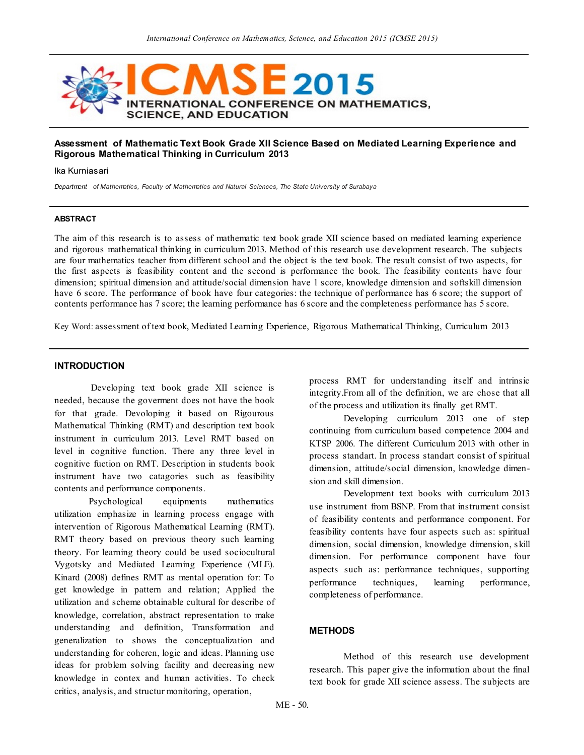

## **Assessment of Mathematic Text Book Grade XII Science Based on Mediated Learning Experience and Rigorous Mathematical Thinking in Curriculum 2013**

Ika Kurniasari

*Department of Mathematics, Faculty of Mathematics and Natural Sciences, The State University of Surabaya*

#### **ABSTRACT**

The aim of this research is to assess of mathematic text book grade XII science based on mediated learning experience and rigorous mathematical thinking in curriculum 2013. Method of this research use development research. The subjects are four mathematics teacher from different school and the object is the text book. The result consist of two aspects, for the first aspects is feasibility content and the second is performance the book. The feasibility contents have four dimension; spiritual dimension and attitude/social dimension have 1 score, knowledge dimension and softskill dimension have 6 score. The performance of book have four categories: the technique of performance has 6 score; the support of contents performance has 7 score; the learning performance has 6 score and the completeness performance has 5 score.

Key Word: assessment of text book, Mediated Learning Experience, Rigorous Mathematical Thinking, Curriculum 2013

#### **INTRODUCTION**

Developing text book grade XII science is needed, because the goverment does not have the book for that grade. Devoloping it based on Rigourous Mathematical Thinking (RMT) and description text book instrument in curriculum 2013. Level RMT based on level in cognitive function. There any three level in cognitive fuction on RMT. Description in students book instrument have two catagories such as feasibility contents and performance components.

Psychological equipments mathematics utilization emphasize in learning process engage with intervention of Rigorous Mathematical Learning (RMT). RMT theory based on previous theory such learning theory. For learning theory could be used sociocultural Vygotsky and Mediated Learning Experience (MLE). Kinard (2008) defines RMT as mental operation for: To get knowledge in pattern and relation; Applied the utilization and scheme obtainable cultural for describe of knowledge, correlation, abstract representation to make understanding and definition, Transformation and generalization to shows the conceptualization and understanding for coheren, logic and ideas. Planning use ideas for problem solving facility and decreasing new knowledge in contex and human activities. To check critics, analysis, and structur monitoring, operation,

process RMT for understanding itself and intrinsic integrity.From all of the definition, we are chose that all of the process and utilization its finally get RMT.

Developing curriculum 2013 one of step continuing from curriculum based competence 2004 and KTSP 2006. The different Curriculum 2013 with other in process standart. In process standart consist of spiritual dimension, attitude/social dimension, knowledge dimension and skill dimension.

Development text books with curriculum 2013 use instrument from BSNP. From that instrument consist of feasibility contents and performance component. For feasibility contents have four aspects such as: spiritual dimension, social dimension, knowledge dimension, s kill dimension. For performance component have four aspects such as: performance techniques, supporting performance techniques, learning performance, completeness of performance.

### **METHODS**

Method of this research use development research. This paper give the information about the final text book for grade XII science assess. The subjects are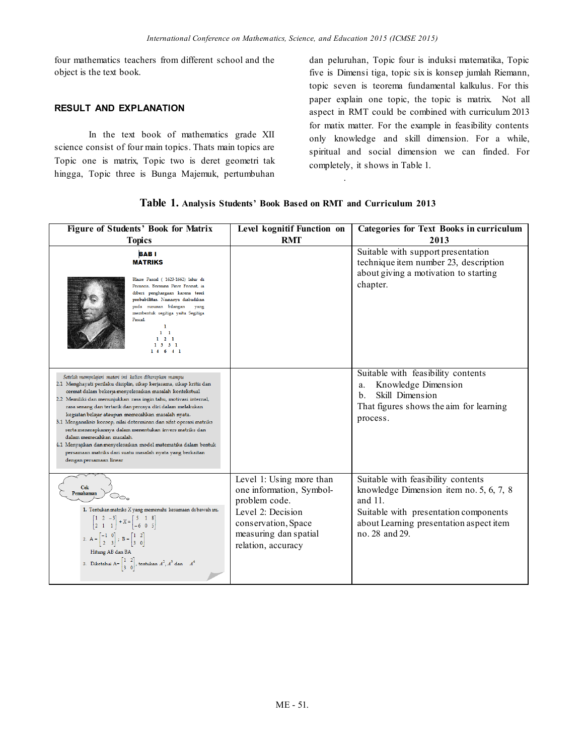four mathematics teachers from different school and the object is the text book.

# **RESULT AND EXPLANATION**

In the text book of mathematics grade XII science consist of four main topics. Thats main topics are Topic one is matrix, Topic two is deret geometri tak hingga, Topic three is Bunga Majemuk, pertumbuhan

dan peluruhan, Topic four is induksi matematika, Topic five is Dimensi tiga, topic six is konsep jumlah Riemann, topic seven is teorema fundamental kalkulus. For this paper explain one topic, the topic is matrix. Not all aspect in RMT could be combined with curriculum 2013 for matix matter. For the example in feasibility contents only knowledge and skill dimension. For a while, spiritual and social dimension we can finded. For completely, it shows in Table 1.

| Table 1. Analysis Students' Book Based on RMT and Curriculum 2013 |  |  |  |  |
|-------------------------------------------------------------------|--|--|--|--|
|-------------------------------------------------------------------|--|--|--|--|

.

| <b>Figure of Students' Book for Matrix</b>                                                                                                                                                                                                                                                                                                                                                                                                                                                                                                                                                                                                                                                              | Level kognitif Function on                                                                                                                                       | <b>Categories for Text Books in curriculum</b>                                                                                                                                                    |
|---------------------------------------------------------------------------------------------------------------------------------------------------------------------------------------------------------------------------------------------------------------------------------------------------------------------------------------------------------------------------------------------------------------------------------------------------------------------------------------------------------------------------------------------------------------------------------------------------------------------------------------------------------------------------------------------------------|------------------------------------------------------------------------------------------------------------------------------------------------------------------|---------------------------------------------------------------------------------------------------------------------------------------------------------------------------------------------------|
| <b>Topics</b>                                                                                                                                                                                                                                                                                                                                                                                                                                                                                                                                                                                                                                                                                           | <b>RMT</b>                                                                                                                                                       | 2013                                                                                                                                                                                              |
| <b>BABI</b><br><b>MATRIKS</b><br>Blaise Pascal ( 1623-1662) lahir di<br>Perancis. Bersama Piere Fermat, ia<br>diberi penghargaan karena teori<br>probabilitas. Namanya diabadikan<br>susunan bilangan<br>pada<br>yang<br>membentuk segitiga yaitu Segitiga<br>Pascal.<br>$1\quad$<br>2 <sub>1</sub><br>$1 \t3 \t3 \t1$<br>14 6 4 1                                                                                                                                                                                                                                                                                                                                                                      |                                                                                                                                                                  | Suitable with support presentation<br>technique item number 23, description<br>about giving a motivation to starting<br>chapter.                                                                  |
| Setelah mempelajari materi ini kalian diharapkan mampu<br>2.1 Menghayati perilaku disiplin, sikap kerjasama, sikap kritis dan<br>cermat dalam bekerja menyelesaikan masalah kontekstual<br>2.2 Memiliki dan menunjukkan rasa ingin tahu, motivasi internal,<br>rasa senang dan tertarik dan percaya diri dalam melakukan<br>kegiatan belajar ataupun memecahkan masalah nyata.<br>3.1 Menganalisis konsep, nilai determinan dan sifat operasi matriks<br>serta menerapkannya dalam menentukan invers matriks dan<br>dalam memecahkan masalah.<br>4.1 Menyajikan dan menyelesaikan model matematika dalam bentuk<br>persamaan matriks dari suatu masalah nyata yang berkaitan<br>dengan persamaan linear |                                                                                                                                                                  | Suitable with feasibility contents<br>Knowledge Dimension<br>a.<br>Skill Dimension<br>$\mathbf{b}$ .<br>That figures shows the aim for learning<br>process.                                       |
| <b>Cek</b><br>Pemahaman<br>1. Tentukan matriks X yang memenuhi kesamaan di bawah ini.<br>$\begin{bmatrix} 1 & 2 & -3 \\ 2 & 1 & 1 \end{bmatrix}$ + X = $\begin{bmatrix} 5 & 1 & 8 \\ -6 & 0 & 5 \end{bmatrix}$<br>2. $A = \begin{bmatrix} -1 & 0 \\ 2 & 3 \end{bmatrix}$ ; $B = \begin{bmatrix} 1 & 2 \\ 3 & 0 \end{bmatrix}$<br>Hitung AB dan BA<br>3. Diketahui A= $\begin{bmatrix} 1 & 2 \\ 3 & 0 \end{bmatrix}$ , tentukan $A^2$ , $A^3$ dan $A^4$                                                                                                                                                                                                                                                  | Level 1: Using more than<br>one information, Symbol-<br>problem code.<br>Level 2: Decision<br>conservation, Space<br>measuring dan spatial<br>relation, accuracy | Suitable with feasibility contents<br>knowledge Dimension item no. 5, 6, 7, 8<br>and $11$ .<br>Suitable with presentation components<br>about Learning presentation aspect item<br>no. 28 and 29. |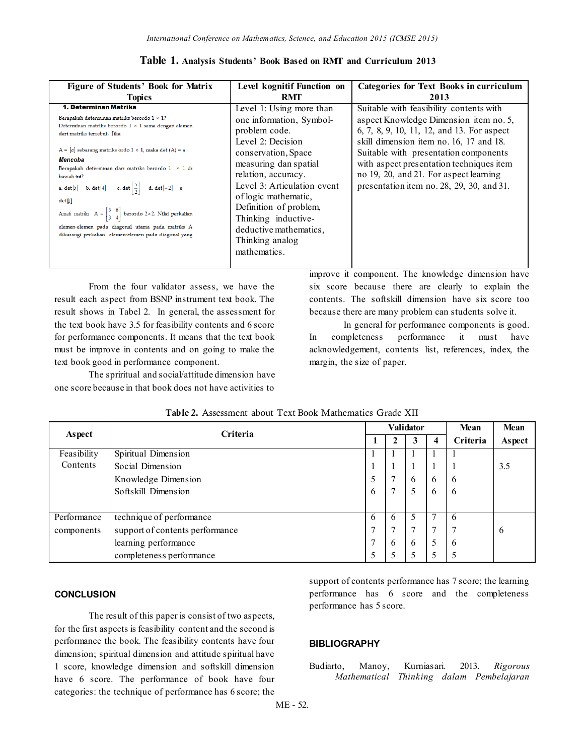| <b>Figure of Students' Book for Matrix</b>                                                                                                                                                                                                                                                    | Level kognitif Function on                                                                                                                                        | <b>Categories for Text Books in curriculum</b>                                                                                                                                                                                                                 |
|-----------------------------------------------------------------------------------------------------------------------------------------------------------------------------------------------------------------------------------------------------------------------------------------------|-------------------------------------------------------------------------------------------------------------------------------------------------------------------|----------------------------------------------------------------------------------------------------------------------------------------------------------------------------------------------------------------------------------------------------------------|
| <b>Topics</b>                                                                                                                                                                                                                                                                                 | RMT                                                                                                                                                               | 2013                                                                                                                                                                                                                                                           |
| 1. Determinan Matriks                                                                                                                                                                                                                                                                         | Level 1: Using more than                                                                                                                                          | Suitable with feasibility contents with                                                                                                                                                                                                                        |
| Berapakah determinan matriks berordo $1 \times 1$ ?<br>Determinan matriks berordo $1 \times 1$ sama dengan elemen<br>dari matriks tersebut. Iika<br>A = $[a]$ sebarang matriks ordo 1 × 1, maka det (A) = a<br>Mencoba<br>Berapakah determinan dari matriks berordo 1 × 1 di<br>bawah ini?    | one information, Symbol-<br>problem code.<br>Level 2: Decision<br>conservation, Space<br>measuring dan spatial<br>relation, accuracy.                             | aspect Knowledge Dimension item no. 5,<br>6, 7, 8, 9, 10, 11, 12, and 13. For aspect<br>skill dimension item no. 16, 17 and 18.<br>Suitable with presentation components<br>with aspect presentation techniques item<br>no 19, 20, and 21. For aspect learning |
| a. det [5] b. det [4] c. det $\left[\frac{5}{2}\right]$ d. det [-2] e.<br>det[1]<br>Amati matriks $A = \begin{bmatrix} 5 & 6 \\ 3 & 4 \end{bmatrix}$ berordo 2×2. Nilai perkalian<br>elemen-elemen pada diagonal utama pada matriks A<br>dikurangi perkalian elemen-elemen pada diagonal yang | Level 3: Articulation event<br>of logic mathematic,<br>Definition of problem,<br>Thinking inductive-<br>deductive mathematics.<br>Thinking analog<br>mathematics. | presentation item no. 28, 29, 30, and 31.                                                                                                                                                                                                                      |

|  | Table 1. Analysis Students' Book Based on RMT and Curriculum 2013 |  |
|--|-------------------------------------------------------------------|--|
|--|-------------------------------------------------------------------|--|

From the four validator assess, we have the result each aspect from BSNP instrument text book. The result shows in Tabel 2. In general, the assessment for the text book have 3.5 for feasibility contents and 6 score for performance components. It means that the text book must be improve in contents and on going to make the text book good in performance component.

The spriritual and social/attitude dimension have one score because in that book does not have activities to

improve it component. The knowledge dimension have six score because there are clearly to explain the contents. The softskill dimension have six score too because there are many problem can students solve it.

In general for performance components is good. In completeness performance it must have acknowledgement, contents list, references, index, the margin, the size of paper.

|             | Criteria                        |               |   | <b>Validator</b> |                | Mean        | Mean   |
|-------------|---------------------------------|---------------|---|------------------|----------------|-------------|--------|
| Aspect      |                                 |               |   | 3                | 4              | Criteria    | Aspect |
| Feasibility | Spiritual Dimension             | $\perp$       |   |                  |                |             |        |
| Contents    | Social Dimension                | 1             |   |                  |                |             | 3.5    |
|             | Knowledge Dimension             | 5             |   | 6                | 6              | 6           |        |
|             | Softskill Dimension             | 6             |   |                  | 6              | 6           |        |
|             |                                 |               |   |                  |                |             |        |
| Performance | technique of performance        | 6             | 6 |                  |                | $\mathbf b$ |        |
| components  | support of contents performance | $\mathcal{I}$ |   | 7                | $\overline{7}$ | 7           | 6      |
|             | learning performance            | 7             | 6 | 6                | 5              | 6           |        |
|             | completeness performance        | 5             |   |                  |                | 5           |        |

| <b>Table 2.</b> Assessment about Text Book Mathematics Grade XII |
|------------------------------------------------------------------|
|------------------------------------------------------------------|

## **CONCLUSION**

The result of this paper is consist of two aspects, for the first aspects is feasibility content and the second is performance the book. The feasibility contents have four dimension; spiritual dimension and attitude spiritual have 1 score, knowledge dimension and softskill dimension have 6 score. The performance of book have four categories: the technique of performance has 6 score; the

support of contents performance has 7 score; the learning performance has 6 score and the completeness performance has 5 score.

#### **BIBLIOGRAPHY**

Budiarto, Manoy, Kurniasari. 2013. *Rigorous Mathematical Thinking dalam Pembelajaran*